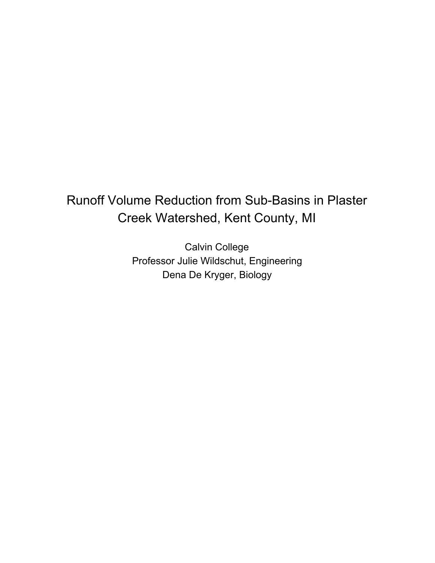# Runoff Volume Reduction from Sub-Basins in Plaster Creek Watershed, Kent County, MI

Calvin College Professor Julie Wildschut, Engineering Dena De Kryger, Biology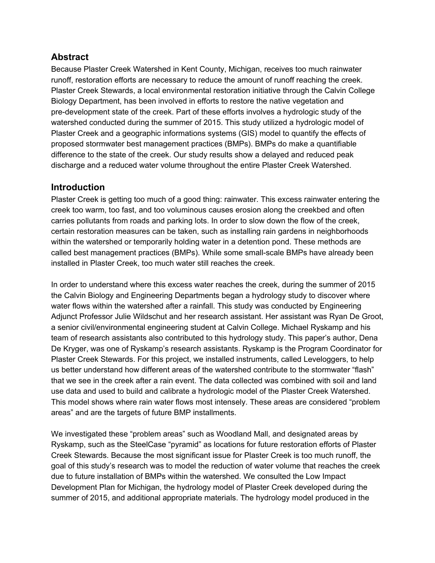## **Abstract**

Because Plaster Creek Watershed in Kent County, Michigan, receives too much rainwater runoff, restoration efforts are necessary to reduce the amount of runoff reaching the creek. Plaster Creek Stewards, a local environmental restoration initiative through the Calvin College Biology Department, has been involved in efforts to restore the native vegetation and pre-development state of the creek. Part of these efforts involves a hydrologic study of the watershed conducted during the summer of 2015. This study utilized a hydrologic model of Plaster Creek and a geographic informations systems (GIS) model to quantify the effects of proposed stormwater best management practices (BMPs). BMPs do make a quantifiable difference to the state of the creek. Our study results show a delayed and reduced peak discharge and a reduced water volume throughout the entire Plaster Creek Watershed.

## **Introduction**

Plaster Creek is getting too much of a good thing: rainwater. This excess rainwater entering the creek too warm, too fast, and too voluminous causes erosion along the creekbed and often carries pollutants from roads and parking lots. In order to slow down the flow of the creek, certain restoration measures can be taken, such as installing rain gardens in neighborhoods within the watershed or temporarily holding water in a detention pond. These methods are called best management practices (BMPs). While some small-scale BMPs have already been installed in Plaster Creek, too much water still reaches the creek.

In order to understand where this excess water reaches the creek, during the summer of 2015 the Calvin Biology and Engineering Departments began a hydrology study to discover where water flows within the watershed after a rainfall. This study was conducted by Engineering Adjunct Professor Julie Wildschut and her research assistant. Her assistant was Ryan De Groot, a senior civil/environmental engineering student at Calvin College. Michael Ryskamp and his team of research assistants also contributed to this hydrology study. This paper's author, Dena De Kryger, was one of Ryskamp's research assistants. Ryskamp is the Program Coordinator for Plaster Creek Stewards. For this project, we installed instruments, called Leveloggers, to help us better understand how different areas of the watershed contribute to the stormwater "flash" that we see in the creek after a rain event. The data collected was combined with soil and land use data and used to build and calibrate a hydrologic model of the Plaster Creek Watershed. This model shows where rain water flows most intensely. These areas are considered "problem areas" and are the targets of future BMP installments.

We investigated these "problem areas" such as Woodland Mall, and designated areas by Ryskamp, such as the SteelCase "pyramid" as locations for future restoration efforts of Plaster Creek Stewards. Because the most significant issue for Plaster Creek is too much runoff, the goal of this study's research was to model the reduction of water volume that reaches the creek due to future installation of BMPs within the watershed. We consulted the Low Impact Development Plan for Michigan, the hydrology model of Plaster Creek developed during the summer of 2015, and additional appropriate materials. The hydrology model produced in the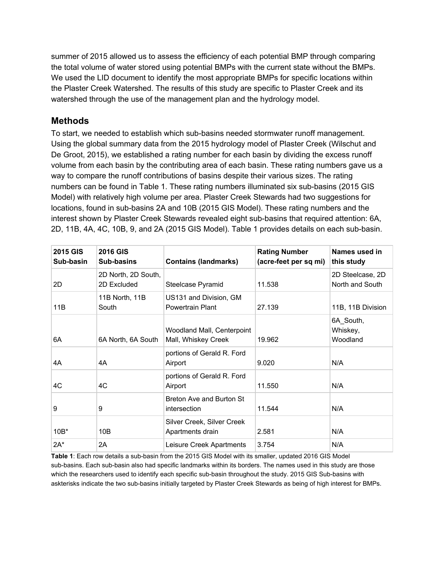summer of 2015 allowed us to assess the efficiency of each potential BMP through comparing the total volume of water stored using potential BMPs with the current state without the BMPs. We used the LID document to identify the most appropriate BMPs for specific locations within the Plaster Creek Watershed. The results of this study are specific to Plaster Creek and its watershed through the use of the management plan and the hydrology model.

## **Methods**

To start, we needed to establish which sub-basins needed stormwater runoff management. Using the global summary data from the 2015 hydrology model of Plaster Creek (Wilschut and De Groot, 2015), we established a rating number for each basin by dividing the excess runoff volume from each basin by the contributing area of each basin. These rating numbers gave us a way to compare the runoff contributions of basins despite their various sizes. The rating numbers can be found in Table 1. These rating numbers illuminated six sub-basins (2015 GIS Model) with relatively high volume per area. Plaster Creek Stewards had two suggestions for locations, found in sub-basins 2A and 10B (2015 GIS Model). These rating numbers and the interest shown by Plaster Creek Stewards revealed eight sub-basins that required attention: 6A, 2D, 11B, 4A, 4C, 10B, 9, and 2A (2015 GIS Model). Table 1 provides details on each sub-basin.

| <b>2015 GIS</b><br>Sub-basin | <b>2016 GIS</b><br>Sub-basins      | <b>Contains (landmarks)</b>                       | <b>Rating Number</b><br>(acre-feet per sq mi) | Names used in<br>this study         |
|------------------------------|------------------------------------|---------------------------------------------------|-----------------------------------------------|-------------------------------------|
| 2D                           | 2D North, 2D South,<br>2D Excluded | Steelcase Pyramid                                 | 11.538                                        | 2D Steelcase, 2D<br>North and South |
| 11B                          | 11B North, 11B<br>South            | US131 and Division, GM<br><b>Powertrain Plant</b> | 27.139                                        | 11B, 11B Division                   |
| 6A                           | 6A North, 6A South                 | Woodland Mall, Centerpoint<br>Mall, Whiskey Creek | 19.962                                        | 6A South,<br>Whiskey,<br>Woodland   |
| 4A                           | 4A                                 | portions of Gerald R. Ford<br>Airport             | 9.020                                         | N/A                                 |
| 4C                           | 4C                                 | portions of Gerald R. Ford<br>Airport             | 11.550                                        | N/A                                 |
| 9                            | 9                                  | Breton Ave and Burton St<br>intersection          | 11.544                                        | N/A                                 |
| $10B*$                       | 10B                                | Silver Creek, Silver Creek<br>Apartments drain    | 2.581                                         | N/A                                 |
| $2A^*$                       | 2A                                 | Leisure Creek Apartments                          | 3.754                                         | N/A                                 |

Table 1: Each row details a sub-basin from the 2015 GIS Model with its smaller, updated 2016 GIS Model sub-basins. Each sub-basin also had specific landmarks within its borders. The names used in this study are those which the researchers used to identify each specific sub-basin throughout the study. 2015 GIS Sub-basins with askterisks indicate the two sub-basins initially targeted by Plaster Creek Stewards as being of high interest for BMPs.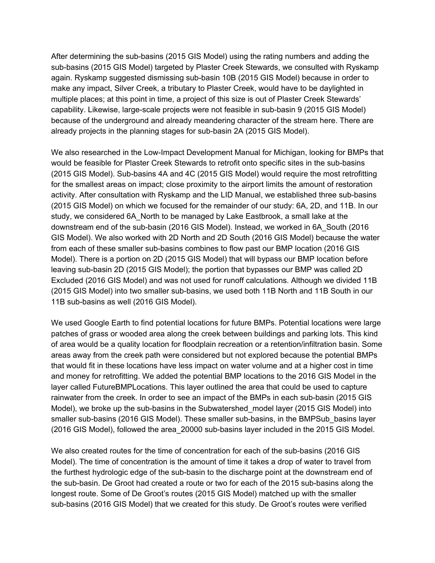After determining the sub-basins (2015 GIS Model) using the rating numbers and adding the sub-basins (2015 GIS Model) targeted by Plaster Creek Stewards, we consulted with Ryskamp again. Ryskamp suggested dismissing sub-basin 10B (2015 GIS Model) because in order to make any impact, Silver Creek, a tributary to Plaster Creek, would have to be daylighted in multiple places; at this point in time, a project of this size is out of Plaster Creek Stewards' capability. Likewise, large-scale projects were not feasible in sub-basin 9 (2015 GIS Model) because of the underground and already meandering character of the stream here. There are already projects in the planning stages for sub-basin 2A (2015 GIS Model).

We also researched in the Low-Impact Development Manual for Michigan, looking for BMPs that would be feasible for Plaster Creek Stewards to retrofit onto specific sites in the sub-basins (2015 GIS Model). Sub-basins 4A and 4C (2015 GIS Model) would require the most retrofitting for the smallest areas on impact; close proximity to the airport limits the amount of restoration activity. After consultation with Ryskamp and the LID Manual, we established three sub-basins (2015 GIS Model) on which we focused for the remainder of our study: 6A, 2D, and 11B. In our study, we considered 6A\_North to be managed by Lake Eastbrook, a small lake at the downstream end of the sub-basin (2016 GIS Model). Instead, we worked in 6A South (2016 GIS Model). We also worked with 2D North and 2D South (2016 GIS Model) because the water from each of these smaller sub-basins combines to flow past our BMP location (2016 GIS Model). There is a portion on 2D (2015 GIS Model) that will bypass our BMP location before leaving sub-basin 2D (2015 GIS Model); the portion that bypasses our BMP was called 2D Excluded (2016 GIS Model) and was not used for runoff calculations. Although we divided 11B (2015 GIS Model) into two smaller sub-basins, we used both 11B North and 11B South in our 11B sub-basins as well (2016 GIS Model).

We used Google Earth to find potential locations for future BMPs. Potential locations were large patches of grass or wooded area along the creek between buildings and parking lots. This kind of area would be a quality location for floodplain recreation or a retention/infiltration basin. Some areas away from the creek path were considered but not explored because the potential BMPs that would fit in these locations have less impact on water volume and at a higher cost in time and money for retrofitting. We added the potential BMP locations to the 2016 GIS Model in the layer called FutureBMPLocations. This layer outlined the area that could be used to capture rainwater from the creek. In order to see an impact of the BMPs in each sub-basin (2015 GIS Model), we broke up the sub-basins in the Subwatershed model layer (2015 GIS Model) into smaller sub-basins (2016 GIS Model). These smaller sub-basins, in the BMPSub basins layer (2016 GIS Model), followed the area\_20000 sub-basins layer included in the 2015 GIS Model.

We also created routes for the time of concentration for each of the sub-basins (2016 GIS Model). The time of concentration is the amount of time it takes a drop of water to travel from the furthest hydrologic edge of the sub-basin to the discharge point at the downstream end of the sub-basin. De Groot had created a route or two for each of the 2015 sub-basins along the longest route. Some of De Groot's routes (2015 GIS Model) matched up with the smaller sub-basins (2016 GIS Model) that we created for this study. De Groot's routes were verified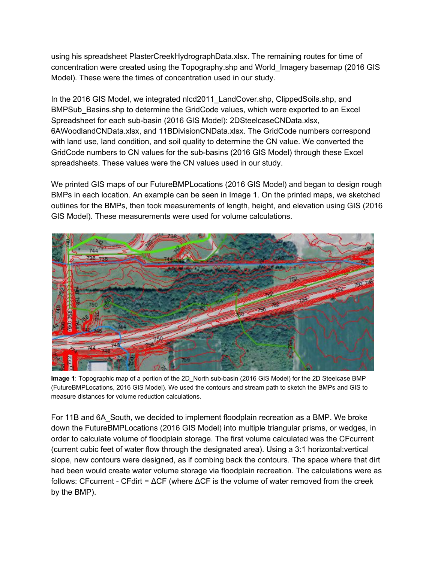using his spreadsheet PlasterCreekHydrographData.xlsx. The remaining routes for time of concentration were created using the Topography.shp and World\_Imagery basemap (2016 GIS Model). These were the times of concentration used in our study.

In the 2016 GIS Model, we integrated nlcd2011 LandCover.shp, ClippedSoils.shp, and BMPSub Basins.shp to determine the GridCode values, which were exported to an Excel Spreadsheet for each sub-basin (2016 GIS Model): 2DSteelcaseCNData.xlsx, 6AWoodlandCNData.xlsx, and 11BDivisionCNData.xlsx. The GridCode numbers correspond with land use, land condition, and soil quality to determine the CN value. We converted the GridCode numbers to CN values for the sub-basins (2016 GIS Model) through these Excel spreadsheets. These values were the CN values used in our study.

We printed GIS maps of our FutureBMPLocations (2016 GIS Model) and began to design rough BMPs in each location. An example can be seen in Image 1. On the printed maps, we sketched outlines for the BMPs, then took measurements of length, height, and elevation using GIS (2016 GIS Model). These measurements were used for volume calculations.



**Image 1**: Topographic map of a portion of the 2D\_North sub-basin (2016 GIS Model) for the 2D Steelcase BMP (FutureBMPLocations, 2016 GIS Model). We used the contours and stream path to sketch the BMPs and GIS to measure distances for volume reduction calculations.

For 11B and 6A\_South, we decided to implement floodplain recreation as a BMP. We broke down the FutureBMPLocations (2016 GIS Model) into multiple triangular prisms, or wedges, in order to calculate volume of floodplain storage. The first volume calculated was the CFcurrent (current cubic feet of water flow through the designated area). Using a 3:1 horizontal:vertical slope, new contours were designed, as if combing back the contours. The space where that dirt had been would create water volume storage via floodplain recreation. The calculations were as follows: CFcurrent - CFdirt =  $\Delta$ CF (where  $\Delta$ CF is the volume of water removed from the creek by the BMP).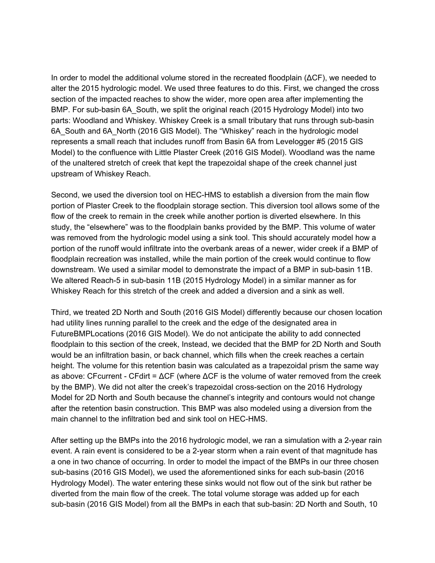In order to model the additional volume stored in the recreated floodplain (ΔCF), we needed to alter the 2015 hydrologic model. We used three features to do this. First, we changed the cross section of the impacted reaches to show the wider, more open area after implementing the BMP. For sub-basin 6A South, we split the original reach (2015 Hydrology Model) into two parts: Woodland and Whiskey. Whiskey Creek is a small tributary that runs through sub-basin 6A\_South and 6A\_North (2016 GIS Model). The "Whiskey" reach in the hydrologic model represents a small reach that includes runoff from Basin 6A from Levelogger #5 (2015 GIS Model) to the confluence with Little Plaster Creek (2016 GIS Model). Woodland was the name of the unaltered stretch of creek that kept the trapezoidal shape of the creek channel just upstream of Whiskey Reach.

Second, we used the diversion tool on HEC-HMS to establish a diversion from the main flow portion of Plaster Creek to the floodplain storage section. This diversion tool allows some of the flow of the creek to remain in the creek while another portion is diverted elsewhere. In this study, the "elsewhere" was to the floodplain banks provided by the BMP. This volume of water was removed from the hydrologic model using a sink tool. This should accurately model how a portion of the runoff would infiltrate into the overbank areas of a newer, wider creek if a BMP of floodplain recreation was installed, while the main portion of the creek would continue to flow downstream. We used a similar model to demonstrate the impact of a BMP in sub-basin 11B. We altered Reach-5 in sub-basin 11B (2015 Hydrology Model) in a similar manner as for Whiskey Reach for this stretch of the creek and added a diversion and a sink as well.

Third, we treated 2D North and South (2016 GIS Model) differently because our chosen location had utility lines running parallel to the creek and the edge of the designated area in FutureBMPLocations (2016 GIS Model). We do not anticipate the ability to add connected floodplain to this section of the creek, Instead, we decided that the BMP for 2D North and South would be an infiltration basin, or back channel, which fills when the creek reaches a certain height. The volume for this retention basin was calculated as a trapezoidal prism the same way as above: CFcurrent - CFdirt =  $\Delta$ CF (where  $\Delta$ CF is the volume of water removed from the creek by the BMP). We did not alter the creek's trapezoidal cross-section on the 2016 Hydrology Model for 2D North and South because the channel's integrity and contours would not change after the retention basin construction. This BMP was also modeled using a diversion from the main channel to the infiltration bed and sink tool on HEC-HMS.

After setting up the BMPs into the 2016 hydrologic model, we ran a simulation with a 2-year rain event. A rain event is considered to be a 2-year storm when a rain event of that magnitude has a one in two chance of occurring. In order to model the impact of the BMPs in our three chosen sub-basins (2016 GIS Model), we used the aforementioned sinks for each sub-basin (2016 Hydrology Model). The water entering these sinks would not flow out of the sink but rather be diverted from the main flow of the creek. The total volume storage was added up for each sub-basin (2016 GIS Model) from all the BMPs in each that sub-basin: 2D North and South, 10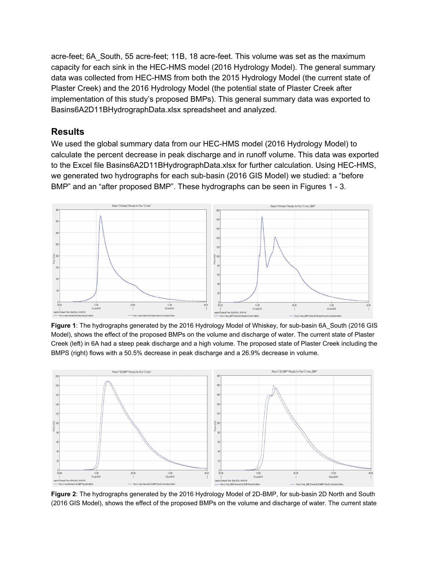acre-feet; 6A South, 55 acre-feet; 11B, 18 acre-feet. This volume was set as the maximum capacity for each sink in the HEC-HMS model (2016 Hydrology Model). The general summary data was collected from HEC-HMS from both the 2015 Hydrology Model (the current state of Plaster Creek) and the 2016 Hydrology Model (the potential state of Plaster Creek after implementation of this study's proposed BMPs). This general summary data was exported to Basins6A2D11BHydrographData.xlsx spreadsheet and analyzed.

## **Results**

We used the global summary data from our HEC-HMS model (2016 Hydrology Model) to calculate the percent decrease in peak discharge and in runoff volume. This data was exported to the Excel file Basins6A2D11BHydrographData.xlsx for further calculation. Using HEC-HMS, we generated two hydrographs for each sub-basin (2016 GIS Model) we studied: a "before BMP" and an "after proposed BMP". These hydrographs can be seen in Figures 1 - 3.



**Figure 1**: The hydrographs generated by the 2016 Hydrology Model of Whiskey, for sub-basin 6A South (2016 GIS Model), shows the effect of the proposed BMPs on the volume and discharge of water. The current state of Plaster Creek (left) in 6A had a steep peak discharge and a high volume. The proposed state of Plaster Creek including the BMPS (right) flows with a 50.5% decrease in peak discharge and a 26.9% decrease in volume.



Figure 2: The hydrographs generated by the 2016 Hydrology Model of 2D-BMP, for sub-basin 2D North and South (2016 GIS Model), shows the effect of the proposed BMPs on the volume and discharge of water. The current state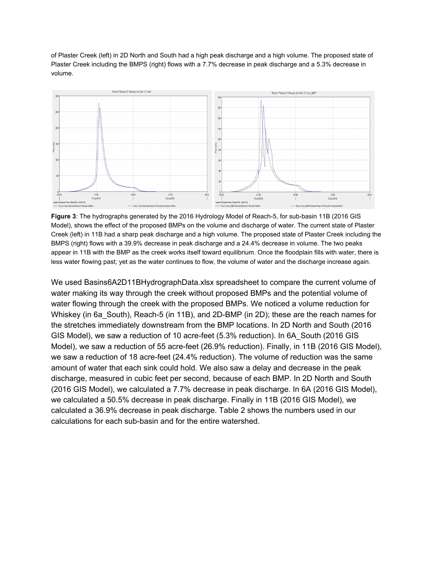of Plaster Creek (left) in 2D North and South had a high peak discharge and a high volume. The proposed state of Plaster Creek including the BMPS (right) flows with a 7.7% decrease in peak discharge and a 5.3% decrease in volume.



**Figure 3:** The hydrographs generated by the 2016 Hydrology Model of Reach-5, for sub-basin 11B (2016 GIS Model), shows the effect of the proposed BMPs on the volume and discharge of water. The current state of Plaster Creek (left) in 11B had a sharp peak discharge and a high volume. The proposed state of Plaster Creek including the BMPS (right) flows with a 39.9% decrease in peak discharge and a 24.4% decrease in volume. The two peaks appear in 11B with the BMP as the creek works itself toward equilibrium. Once the floodplain fills with water, there is less water flowing past; yet as the water continues to flow, the volume of water and the discharge increase again.

We used Basins6A2D11BHydrographData.xlsx spreadsheet to compare the current volume of water making its way through the creek without proposed BMPs and the potential volume of water flowing through the creek with the proposed BMPs. We noticed a volume reduction for Whiskey (in 6a South), Reach-5 (in 11B), and 2D-BMP (in 2D); these are the reach names for the stretches immediately downstream from the BMP locations. In 2D North and South (2016 GIS Model), we saw a reduction of 10 acre-feet (5.3% reduction). In 6A\_South (2016 GIS Model), we saw a reduction of 55 acre-feet (26.9% reduction). Finally, in 11B (2016 GIS Model), we saw a reduction of 18 acre-feet (24.4% reduction). The volume of reduction was the same amount of water that each sink could hold. We also saw a delay and decrease in the peak discharge, measured in cubic feet per second, because of each BMP. In 2D North and South (2016 GIS Model), we calculated a 7.7% decrease in peak discharge. In 6A (2016 GIS Model), we calculated a 50.5% decrease in peak discharge. Finally in 11B (2016 GIS Model), we calculated a 36.9% decrease in peak discharge. Table 2 shows the numbers used in our calculations for each sub-basin and for the entire watershed.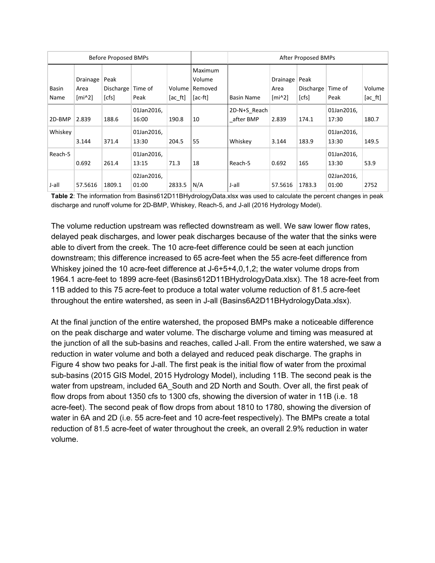| <b>Before Proposed BMPs</b> |                              |                            |                     |                    | After Proposed BMPs                     |                           |                                                        |                                      |                     |                    |
|-----------------------------|------------------------------|----------------------------|---------------------|--------------------|-----------------------------------------|---------------------------|--------------------------------------------------------|--------------------------------------|---------------------|--------------------|
| Basin<br>Name               | Drainage<br>Area<br>$[mi^2]$ | Peak<br>Discharge<br>[cfs] | Time of<br>Peak     | Volume<br>$[ac_f]$ | Maximum<br>Volume<br>Removed<br>[ac-ft] | <b>Basin Name</b>         | Drainage<br>Area<br>$\lceil \text{mi} \wedge 2 \rceil$ | Peak<br>Discharge   Time of<br>[cfs] | Peak                | Volume<br>$[ac_f]$ |
| 2D-BMP                      | 2.839                        | 188.6                      | 01Jan2016,<br>16:00 | 190.8              | 10                                      | 2D-N+S Reach<br>after BMP | 2.839                                                  | 174.1                                | 01Jan2016,<br>17:30 | 180.7              |
| Whiskey                     | 3.144                        | 371.4                      | 01Jan2016,<br>13:30 | 204.5              | 55                                      | Whiskey                   | 3.144                                                  | 183.9                                | 01Jan2016,<br>13:30 | 149.5              |
| Reach-5                     | 0.692                        | 261.4                      | 01Jan2016,<br>13:15 | 71.3               | 18                                      | Reach-5                   | 0.692                                                  | 165                                  | 01Jan2016,<br>13:30 | 53.9               |
| J-all                       | 57.5616                      | 1809.1                     | 02Jan2016,<br>01:00 | 2833.5             | N/A                                     | J-all                     | 57.5616                                                | 1783.3                               | 02Jan2016,<br>01:00 | 2752               |

**Table 2**: The information from Basins612D11BHydrologyData.xlsx was used to calculate the percent changes in peak discharge and runoff volume for 2D-BMP, Whiskey, Reach-5, and J-all (2016 Hydrology Model).

The volume reduction upstream was reflected downstream as well. We saw lower flow rates, delayed peak discharges, and lower peak discharges because of the water that the sinks were able to divert from the creek. The 10 acre-feet difference could be seen at each junction downstream; this difference increased to 65 acre-feet when the 55 acre-feet difference from Whiskey joined the 10 acre-feet difference at  $J-6+5+4,0,1,2$ ; the water volume drops from 1964.1 acre-feet to 1899 acre-feet (Basins612D11BHydrologyData.xlsx). The 18 acre-feet from 11B added to this 75 acre-feet to produce a total water volume reduction of 81.5 acre-feet throughout the entire watershed, as seen in J-all (Basins6A2D11BHydrologyData.xlsx).

At the final junction of the entire watershed, the proposed BMPs make a noticeable difference on the peak discharge and water volume. The discharge volume and timing was measured at the junction of all the sub-basins and reaches, called J-all. From the entire watershed, we saw a reduction in water volume and both a delayed and reduced peak discharge. The graphs in Figure 4 show two peaks for J-all. The first peak is the initial flow of water from the proximal sub-basins (2015 GIS Model, 2015 Hydrology Model), including 11B. The second peak is the water from upstream, included 6A\_South and 2D North and South. Over all, the first peak of flow drops from about 1350 cfs to 1300 cfs, showing the diversion of water in 11B (i.e. 18 acre-feet). The second peak of flow drops from about 1810 to 1780, showing the diversion of water in 6A and 2D (i.e. 55 acre-feet and 10 acre-feet respectively). The BMPs create a total reduction of 81.5 acre-feet of water throughout the creek, an overall 2.9% reduction in water volume.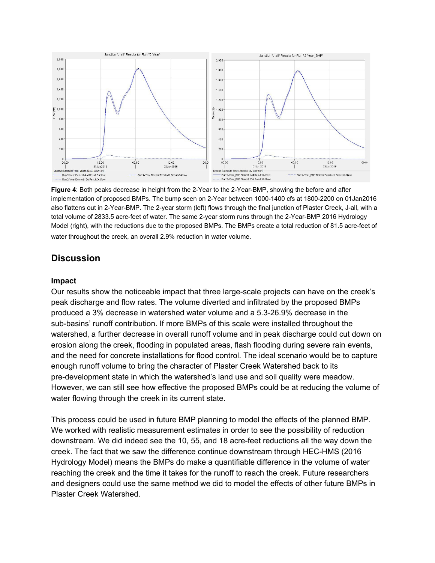

**Figure** 4: Both peaks decrease in height from the 2-Year to the 2-Year-BMP, showing the before and after implementation of proposed BMPs. The bump seen on 2-Year between 1000-1400 cfs at 1800-2200 on 01Jan2016 also flattens out in 2-Year-BMP. The 2-year storm (left) flows through the final junction of Plaster Creek, J-all, with a total volume of 2833.5 acre-feet of water. The same 2-year storm runs through the 2-Year-BMP 2016 Hydrology Model (right), with the reductions due to the proposed BMPs. The BMPs create a total reduction of 81.5 acre-feet of water throughout the creek, an overall 2.9% reduction in water volume.

## **Discussion**

#### **Impact**

Our results show the noticeable impact that three large-scale projects can have on the creek's peak discharge and flow rates. The volume diverted and infiltrated by the proposed BMPs produced a 3% decrease in watershed water volume and a 5.326.9% decrease in the sub-basins' runoff contribution. If more BMPs of this scale were installed throughout the watershed, a further decrease in overall runoff volume and in peak discharge could cut down on erosion along the creek, flooding in populated areas, flash flooding during severe rain events, and the need for concrete installations for flood control. The ideal scenario would be to capture enough runoff volume to bring the character of Plaster Creek Watershed back to its pre-development state in which the watershed's land use and soil quality were meadow. However, we can still see how effective the proposed BMPs could be at reducing the volume of water flowing through the creek in its current state.

This process could be used in future BMP planning to model the effects of the planned BMP. We worked with realistic measurement estimates in order to see the possibility of reduction downstream. We did indeed see the 10, 55, and 18 acre-feet reductions all the way down the creek. The fact that we saw the difference continue downstream through HEC-HMS (2016) Hydrology Model) means the BMPs do make a quantifiable difference in the volume of water reaching the creek and the time it takes for the runoff to reach the creek. Future researchers and designers could use the same method we did to model the effects of other future BMPs in Plaster Creek Watershed.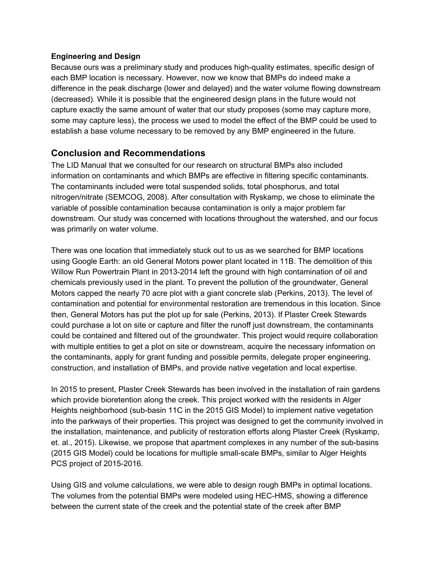#### **Engineering and Design**

Because ours was a preliminary study and produces high-quality estimates, specific design of each BMP location is necessary. However, now we know that BMPs do indeed make a difference in the peak discharge (lower and delayed) and the water volume flowing downstream (decreased). While it is possible that the engineered design plans in the future would not capture exactly the same amount of water that our study proposes (some may capture more, some may capture less), the process we used to model the effect of the BMP could be used to establish a base volume necessary to be removed by any BMP engineered in the future.

## **Conclusion and Recommendations**

The LID Manual that we consulted for our research on structural BMPs also included information on contaminants and which BMPs are effective in filtering specific contaminants. The contaminants included were total suspended solids, total phosphorus, and total nitrogen/nitrate (SEMCOG, 2008). After consultation with Ryskamp, we chose to eliminate the variable of possible contamination because contamination is only a major problem far downstream. Our study was concerned with locations throughout the watershed, and our focus was primarily on water volume.

There was one location that immediately stuck out to us as we searched for BMP locations using Google Earth: an old General Motors power plant located in 11B. The demolition of this Willow Run Powertrain Plant in 2013-2014 left the ground with high contamination of oil and chemicals previously used in the plant. To prevent the pollution of the groundwater, General Motors capped the nearly 70 acre plot with a giant concrete slab (Perkins, 2013). The level of contamination and potential for environmental restoration are tremendous in this location. Since then, General Motors has put the plot up for sale (Perkins, 2013). If Plaster Creek Stewards could purchase a lot on site or capture and filter the runoff just downstream, the contaminants could be contained and filtered out of the groundwater. This project would require collaboration with multiple entities to get a plot on site or downstream, acquire the necessary information on the contaminants, apply for grant funding and possible permits, delegate proper engineering, construction, and installation of BMPs, and provide native vegetation and local expertise.

In 2015 to present, Plaster Creek Stewards has been involved in the installation of rain gardens which provide bioretention along the creek. This project worked with the residents in Alger Heights neighborhood (sub-basin 11C in the 2015 GIS Model) to implement native vegetation into the parkways of their properties. This project was designed to get the community involved in the installation, maintenance, and publicity of restoration efforts along Plaster Creek (Ryskamp, et. al., 2015). Likewise, we propose that apartment complexes in any number of the sub-basins (2015 GIS Model) could be locations for multiple small-scale BMPs, similar to Alger Heights PCS project of 2015-2016.

Using GIS and volume calculations, we were able to design rough BMPs in optimal locations. The volumes from the potential BMPs were modeled using HEC-HMS, showing a difference between the current state of the creek and the potential state of the creek after BMP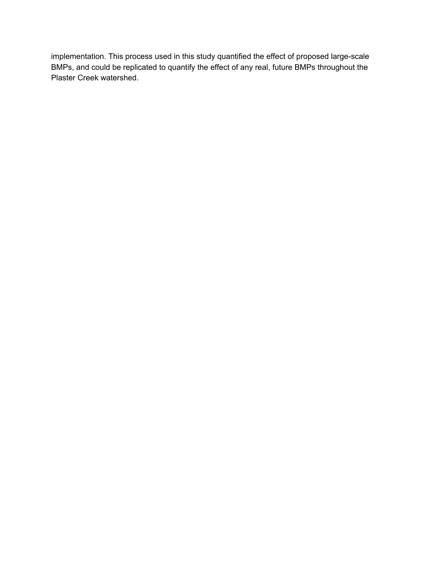implementation. This process used in this study quantified the effect of proposed large-scale BMPs, and could be replicated to quantify the effect of any real, future BMPs throughout the Plaster Creek watershed.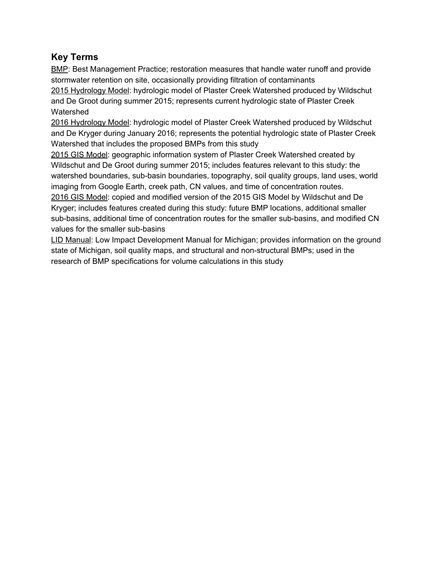## **Key Terms**

BMP: Best Management Practice; restoration measures that handle water runoff and provide stormwater retention on site, occasionally providing filtration of contaminants 2015 Hydrology Model: hydrologic model of Plaster Creek Watershed produced by Wildschut and De Groot during summer 2015; represents current hydrologic state of Plaster Creek Watershed

2016 Hydrology Model: hydrologic model of Plaster Creek Watershed produced by Wildschut and De Kryger during January 2016; represents the potential hydrologic state of Plaster Creek Watershed that includes the proposed BMPs from this study

2015 GIS Model: geographic information system of Plaster Creek Watershed created by Wildschut and De Groot during summer 2015; includes features relevant to this study: the watershed boundaries, sub-basin boundaries, topography, soil quality groups, land uses, world imaging from Google Earth, creek path, CN values, and time of concentration routes. 2016 GIS Model: copied and modified version of the 2015 GIS Model by Wildschut and De Kryger; includes features created during this study: future BMP locations, additional smaller

sub-basins, additional time of concentration routes for the smaller sub-basins, and modified CN values for the smaller sub-basins

LID Manual: Low Impact Development Manual for Michigan; provides information on the ground state of Michigan, soil quality maps, and structural and nonstructural BMPs; used in the research of BMP specifications for volume calculations in this study